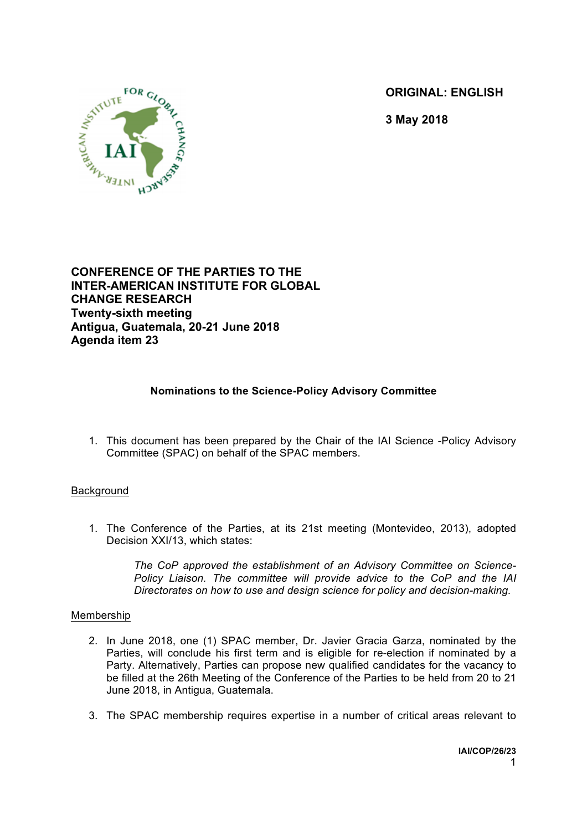**ORIGINAL: ENGLISH**



**3 May 2018**

**CONFERENCE OF THE PARTIES TO THE INTER-AMERICAN INSTITUTE FOR GLOBAL CHANGE RESEARCH Twenty-sixth meeting Antigua, Guatemala, 20-21 June 2018 Agenda item 23**

## **Nominations to the Science-Policy Advisory Committee**

1. This document has been prepared by the Chair of the IAI Science -Policy Advisory Committee (SPAC) on behalf of the SPAC members.

## **Background**

1. The Conference of the Parties, at its 21st meeting (Montevideo, 2013), adopted Decision XXI/13, which states:

> *The CoP approved the establishment of an Advisory Committee on Science-Policy Liaison. The committee will provide advice to the CoP and the IAI Directorates on how to use and design science for policy and decision-making.*

## Membership

- 2. In June 2018, one (1) SPAC member, Dr. Javier Gracia Garza, nominated by the Parties, will conclude his first term and is eligible for re-election if nominated by a Party. Alternatively, Parties can propose new qualified candidates for the vacancy to be filled at the 26th Meeting of the Conference of the Parties to be held from 20 to 21 June 2018, in Antigua, Guatemala.
- 3. The SPAC membership requires expertise in a number of critical areas relevant to